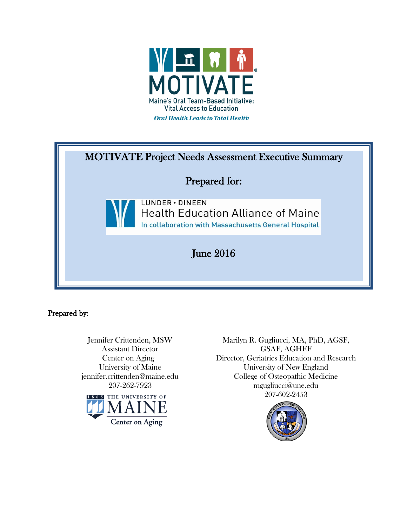

| <b>MOTIVATE Project Needs Assessment Executive Summary</b> |                                                                                                                      |  |
|------------------------------------------------------------|----------------------------------------------------------------------------------------------------------------------|--|
| <b>Prepared for:</b>                                       |                                                                                                                      |  |
|                                                            | LUNDER · DINEEN<br><b>Health Education Alliance of Maine</b><br>In collaboration with Massachusetts General Hospital |  |
| June $2016$                                                |                                                                                                                      |  |

Prepared by:

Jennifer Crittenden, MSW Assistant Director Center on Aging University of Maine jennifer.crittenden@maine.edu 207-262-7923



Marilyn R. Gugliucci, MA, PhD, AGSF, GSAF, AGHEF Director, Geriatrics Education and Research University of New England College of Osteopathic Medicine mgugliucci@une.edu 207-602-2453

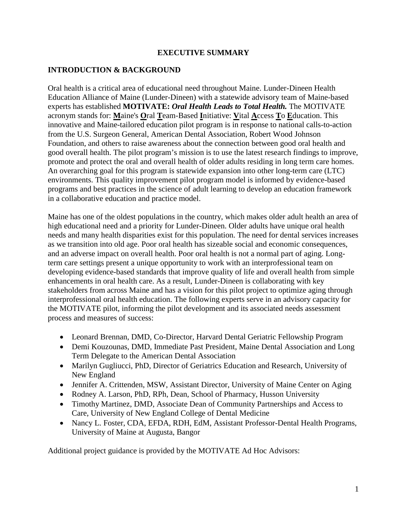#### **EXECUTIVE SUMMARY**

#### **INTRODUCTION & BACKGROUND**

Oral health is a critical area of educational need throughout Maine. Lunder-Dineen Health Education Alliance of Maine (Lunder-Dineen) with a statewide advisory team of Maine-based experts has established **MOTIVATE:** *Oral Health Leads to Total Health.* The MOTIVATE acronym stands for: **M**aine's **O**ral **T**eam-Based **I**nitiative: **V**ital **A**ccess **T**o **E**ducation. This innovative and Maine-tailored education pilot program is in response to national calls-to-action from the U.S. Surgeon General, American Dental Association, Robert Wood Johnson Foundation, and others to raise awareness about the connection between good oral health and good overall health. The pilot program's mission is to use the latest research findings to improve, promote and protect the oral and overall health of older adults residing in long term care homes. An overarching goal for this program is statewide expansion into other long-term care (LTC) environments. This quality improvement pilot program model is informed by evidence-based programs and best practices in the science of adult learning to develop an education framework in a collaborative education and practice model.

Maine has one of the oldest populations in the country, which makes older adult health an area of high educational need and a priority for Lunder-Dineen. Older adults have unique oral health needs and many health disparities exist for this population. The need for dental services increases as we transition into old age. Poor oral health has sizeable social and economic consequences, and an adverse impact on overall health. Poor oral health is not a normal part of aging. Longterm care settings present a unique opportunity to work with an interprofessional team on developing evidence-based standards that improve quality of life and overall health from simple enhancements in oral health care. As a result, Lunder-Dineen is collaborating with key stakeholders from across Maine and has a vision for this pilot project to optimize aging through interprofessional oral health education. The following experts serve in an advisory capacity for the MOTIVATE pilot, informing the pilot development and its associated needs assessment process and measures of success:

- Leonard Brennan, DMD, Co-Director, Harvard Dental Geriatric Fellowship Program
- Demi Kouzounas, DMD, Immediate Past President, Maine Dental Association and Long Term Delegate to the American Dental Association
- Marilyn Gugliucci, PhD, Director of Geriatrics Education and Research, University of New England
- Jennifer A. Crittenden, MSW, Assistant Director, University of Maine Center on Aging
- Rodney A. Larson, PhD, RPh, Dean, School of Pharmacy, Husson University
- Timothy Martinez, DMD, Associate Dean of Community Partnerships and Access to Care, University of New England College of Dental Medicine
- Nancy L. Foster, CDA, EFDA, RDH, EdM, Assistant Professor-Dental Health Programs, University of Maine at Augusta, Bangor

Additional project guidance is provided by the MOTIVATE Ad Hoc Advisors: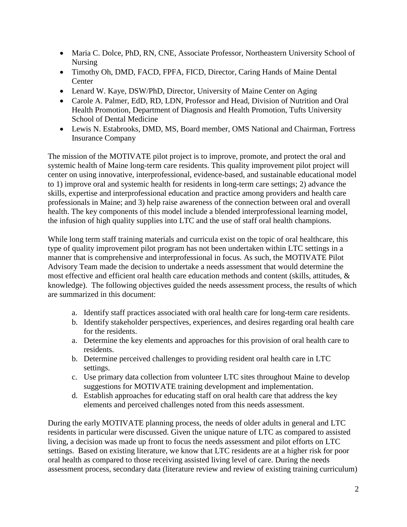- Maria C. Dolce, PhD, RN, CNE, Associate Professor, Northeastern University School of Nursing
- Timothy Oh, DMD, FACD, FPFA, FICD, Director, Caring Hands of Maine Dental **Center**
- Lenard W. Kaye, DSW/PhD, Director, University of Maine Center on Aging
- Carole A. Palmer, EdD, RD, LDN, Professor and Head, Division of Nutrition and Oral Health Promotion, Department of Diagnosis and Health Promotion, Tufts University School of Dental Medicine
- Lewis N. Estabrooks, DMD, MS, Board member, OMS National and Chairman, Fortress Insurance Company

The mission of the MOTIVATE pilot project is to improve, promote, and protect the oral and systemic health of Maine long-term care residents. This quality improvement pilot project will center on using innovative, interprofessional, evidence-based, and sustainable educational model to 1) improve oral and systemic health for residents in long-term care settings; 2) advance the skills, expertise and interprofessional education and practice among providers and health care professionals in Maine; and 3) help raise awareness of the connection between oral and overall health. The key components of this model include a blended interprofessional learning model, the infusion of high quality supplies into LTC and the use of staff oral health champions.

While long term staff training materials and curricula exist on the topic of oral healthcare, this type of quality improvement pilot program has not been undertaken within LTC settings in a manner that is comprehensive and interprofessional in focus. As such, the MOTIVATE Pilot Advisory Team made the decision to undertake a needs assessment that would determine the most effective and efficient oral health care education methods and content (skills, attitudes, & knowledge). The following objectives guided the needs assessment process, the results of which are summarized in this document:

- a. Identify staff practices associated with oral health care for long-term care residents.
- b. Identify stakeholder perspectives, experiences, and desires regarding oral health care for the residents.
- a. Determine the key elements and approaches for this provision of oral health care to residents.
- b. Determine perceived challenges to providing resident oral health care in LTC settings.
- c. Use primary data collection from volunteer LTC sites throughout Maine to develop suggestions for MOTIVATE training development and implementation.
- d. Establish approaches for educating staff on oral health care that address the key elements and perceived challenges noted from this needs assessment.

During the early MOTIVATE planning process, the needs of older adults in general and LTC residents in particular were discussed. Given the unique nature of LTC as compared to assisted living, a decision was made up front to focus the needs assessment and pilot efforts on LTC settings. Based on existing literature, we know that LTC residents are at a higher risk for poor oral health as compared to those receiving assisted living level of care. During the needs assessment process, secondary data (literature review and review of existing training curriculum)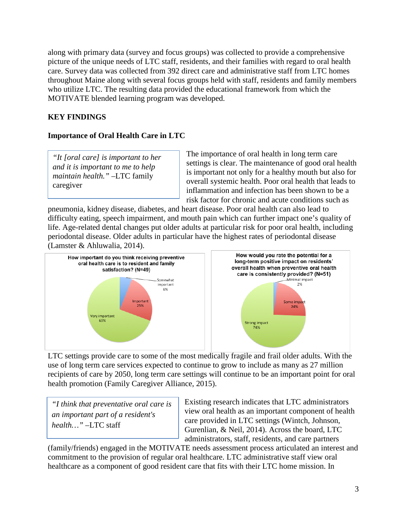along with primary data (survey and focus groups) was collected to provide a comprehensive picture of the unique needs of LTC staff, residents, and their families with regard to oral health care. Survey data was collected from 392 direct care and administrative staff from LTC homes throughout Maine along with several focus groups held with staff, residents and family members who utilize LTC. The resulting data provided the educational framework from which the MOTIVATE blended learning program was developed.

# **KEY FINDINGS**

### **Importance of Oral Health Care in LTC**

*"It [oral care] is important to her and it is important to me to help maintain health."* –LTC family caregiver

The importance of oral health in long term care settings is clear. The maintenance of good oral health is important not only for a healthy mouth but also for overall systemic health. Poor oral health that leads to inflammation and infection has been shown to be a risk factor for chronic and acute conditions such as

pneumonia, kidney disease, diabetes, and heart disease. Poor oral health can also lead to difficulty eating, speech impairment, and mouth pain which can further impact one's quality of life. Age-related dental changes put older adults at particular risk for poor oral health, including periodontal disease. Older adults in particular have the highest rates of periodontal disease (Lamster & Ahluwalia, 2014).



LTC settings provide care to some of the most medically fragile and frail older adults. With the use of long term care services expected to continue to grow to include as many as 27 million recipients of care by 2050, long term care settings will continue to be an important point for oral health promotion (Family Caregiver Alliance, 2015).

*"I think that preventative oral care is an important part of a resident's health…"* –LTC staff

Existing research indicates that LTC administrators view oral health as an important component of health care provided in LTC settings (Wintch, Johnson, Gurenlian, & Neil, 2014). Across the board, LTC administrators, staff, residents, and care partners

(family/friends) engaged in the MOTIVATE needs assessment process articulated an interest and commitment to the provision of regular oral healthcare. LTC administrative staff view oral healthcare as a component of good resident care that fits with their LTC home mission. In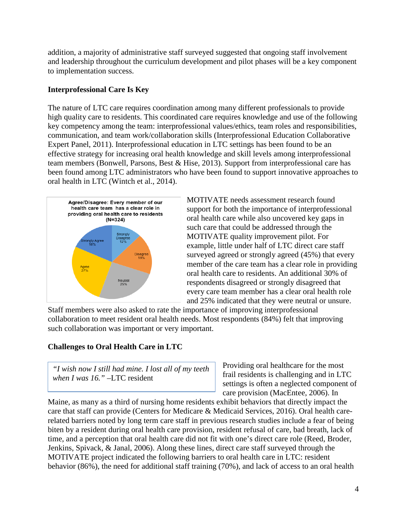addition, a majority of administrative staff surveyed suggested that ongoing staff involvement and leadership throughout the curriculum development and pilot phases will be a key component to implementation success.

### **Interprofessional Care Is Key**

The nature of LTC care requires coordination among many different professionals to provide high quality care to residents. This coordinated care requires knowledge and use of the following key competency among the team: interprofessional values/ethics, team roles and responsibilities, communication, and team work/collaboration skills (Interprofessional Education Collaborative Expert Panel, 2011). Interprofessional education in LTC settings has been found to be an effective strategy for increasing oral health knowledge and skill levels among interprofessional team members (Bonwell, Parsons, Best & Hise, 2013). Support from interprofessional care has been found among LTC administrators who have been found to support innovative approaches to oral health in LTC (Wintch et al., 2014).



MOTIVATE needs assessment research found support for both the importance of interprofessional oral health care while also uncovered key gaps in such care that could be addressed through the MOTIVATE quality improvement pilot. For example, little under half of LTC direct care staff surveyed agreed or strongly agreed (45%) that every member of the care team has a clear role in providing oral health care to residents. An additional 30% of respondents disagreed or strongly disagreed that every care team member has a clear oral health role and 25% indicated that they were neutral or unsure.

Staff members were also asked to rate the importance of improving interprofessional collaboration to meet resident oral health needs. Most respondents (84%) felt that improving such collaboration was important or very important.

# **Challenges to Oral Health Care in LTC**

*"I wish now I still had mine. I lost all of my teeth when I was 16."* –LTC resident

Providing oral healthcare for the most frail residents is challenging and in LTC settings is often a neglected component of care provision (MacEntee, 2006). In

Maine, as many as a third of nursing home residents exhibit behaviors that directly impact the care that staff can provide (Centers for Medicare & Medicaid Services, 2016). Oral health carerelated barriers noted by long term care staff in previous research studies include a fear of being biten by a resident during oral health care provision, resident refusal of care, bad breath, lack of time, and a perception that oral health care did not fit with one's direct care role (Reed, Broder, Jenkins, Spivack, & Janal, 2006). Along these lines, direct care staff surveyed through the MOTIVATE project indicated the following barriers to oral health care in LTC: resident behavior (86%), the need for additional staff training (70%), and lack of access to an oral health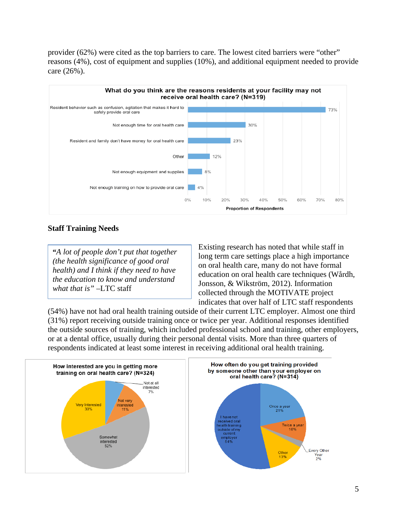provider (62%) were cited as the top barriers to care. The lowest cited barriers were "other" reasons (4%), cost of equipment and supplies (10%), and additional equipment needed to provide care (26%).



#### **Staff Training Needs**

**"***A lot of people don't put that together (the health significance of good oral health) and I think if they need to have the education to know and understand what that is"* –LTC staff

Existing research has noted that while staff in long term care settings place a high importance on oral health care, many do not have formal education on oral health care techniques (Wårdh, Jonsson, & Wikström, 2012). Information collected through the MOTIVATE project indicates that over half of LTC staff respondents

(54%) have not had oral health training outside of their current LTC employer. Almost one third (31%) report receiving outside training once or twice per year. Additional responses identified the outside sources of training, which included professional school and training, other employers, or at a dental office, usually during their personal dental visits. More than three quarters of respondents indicated at least some interest in receiving additional oral health training.



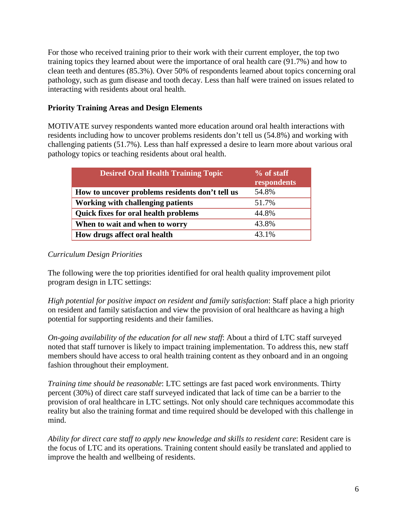For those who received training prior to their work with their current employer, the top two training topics they learned about were the importance of oral health care (91.7%) and how to clean teeth and dentures (85.3%). Over 50% of respondents learned about topics concerning oral pathology, such as gum disease and tooth decay. Less than half were trained on issues related to interacting with residents about oral health.

### **Priority Training Areas and Design Elements**

MOTIVATE survey respondents wanted more education around oral health interactions with residents including how to uncover problems residents don't tell us (54.8%) and working with challenging patients (51.7%). Less than half expressed a desire to learn more about various oral pathology topics or teaching residents about oral health.

| <b>Desired Oral Health Training Topic</b>       | $%$ of staff<br>respondents |
|-------------------------------------------------|-----------------------------|
| How to uncover problems residents don't tell us | 54.8%                       |
| <b>Working with challenging patients</b>        | 51.7%                       |
| <b>Quick fixes for oral health problems</b>     | 44.8%                       |
| When to wait and when to worry                  | 43.8%                       |
| How drugs affect oral health                    | 43.1%                       |

# *Curriculum Design Priorities*

The following were the top priorities identified for oral health quality improvement pilot program design in LTC settings:

*High potential for positive impact on resident and family satisfaction*: Staff place a high priority on resident and family satisfaction and view the provision of oral healthcare as having a high potential for supporting residents and their families.

*On-going availability of the education for all new staff*: About a third of LTC staff surveyed noted that staff turnover is likely to impact training implementation. To address this, new staff members should have access to oral health training content as they onboard and in an ongoing fashion throughout their employment.

*Training time should be reasonable*: LTC settings are fast paced work environments. Thirty percent (30%) of direct care staff surveyed indicated that lack of time can be a barrier to the provision of oral healthcare in LTC settings. Not only should care techniques accommodate this reality but also the training format and time required should be developed with this challenge in mind.

*Ability for direct care staff to apply new knowledge and skills to resident care*: Resident care is the focus of LTC and its operations. Training content should easily be translated and applied to improve the health and wellbeing of residents.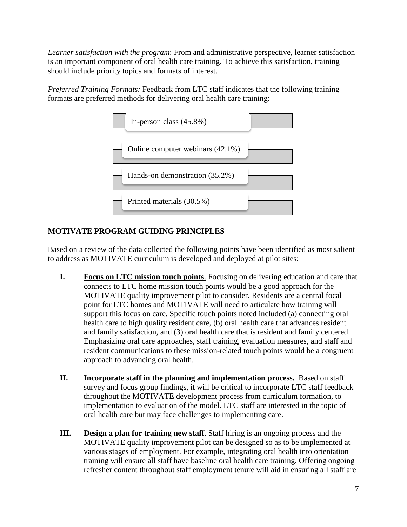*Learner satisfaction with the program*: From and administrative perspective, learner satisfaction is an important component of oral health care training. To achieve this satisfaction, training should include priority topics and formats of interest.

*Preferred Training Formats:* Feedback from LTC staff indicates that the following training formats are preferred methods for delivering oral health care training:



# **MOTIVATE PROGRAM GUIDING PRINCIPLES**

Based on a review of the data collected the following points have been identified as most salient to address as MOTIVATE curriculum is developed and deployed at pilot sites:

- **I. Focus on LTC mission touch points**. Focusing on delivering education and care that connects to LTC home mission touch points would be a good approach for the MOTIVATE quality improvement pilot to consider. Residents are a central focal point for LTC homes and MOTIVATE will need to articulate how training will support this focus on care. Specific touch points noted included (a) connecting oral health care to high quality resident care, (b) oral health care that advances resident and family satisfaction, and (3) oral health care that is resident and family centered. Emphasizing oral care approaches, staff training, evaluation measures, and staff and resident communications to these mission-related touch points would be a congruent approach to advancing oral health.
- **II. Incorporate staff in the planning and implementation process.** Based on staff survey and focus group findings, it will be critical to incorporate LTC staff feedback throughout the MOTIVATE development process from curriculum formation, to implementation to evaluation of the model. LTC staff are interested in the topic of oral health care but may face challenges to implementing care.
- **III. Design a plan for training new staff.** Staff hiring is an ongoing process and the MOTIVATE quality improvement pilot can be designed so as to be implemented at various stages of employment. For example, integrating oral health into orientation training will ensure all staff have baseline oral health care training. Offering ongoing refresher content throughout staff employment tenure will aid in ensuring all staff are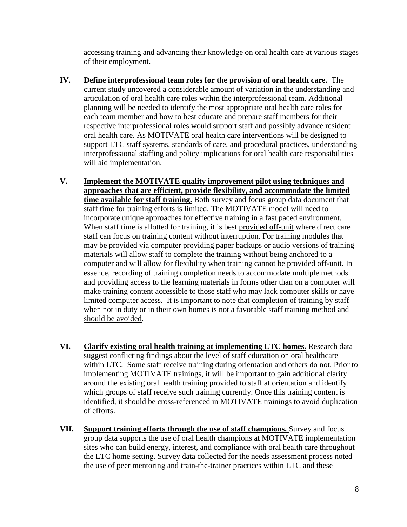accessing training and advancing their knowledge on oral health care at various stages of their employment.

- **IV. Define interprofessional team roles for the provision of oral health care.** The current study uncovered a considerable amount of variation in the understanding and articulation of oral health care roles within the interprofessional team. Additional planning will be needed to identify the most appropriate oral health care roles for each team member and how to best educate and prepare staff members for their respective interprofessional roles would support staff and possibly advance resident oral health care. As MOTIVATE oral health care interventions will be designed to support LTC staff systems, standards of care, and procedural practices, understanding interprofessional staffing and policy implications for oral health care responsibilities will aid implementation.
- **V. Implement the MOTIVATE quality improvement pilot using techniques and approaches that are efficient, provide flexibility, and accommodate the limited time available for staff training.** Both survey and focus group data document that staff time for training efforts is limited. The MOTIVATE model will need to incorporate unique approaches for effective training in a fast paced environment. When staff time is allotted for training, it is best provided off-unit where direct care staff can focus on training content without interruption. For training modules that may be provided via computer providing paper backups or audio versions of training materials will allow staff to complete the training without being anchored to a computer and will allow for flexibility when training cannot be provided off-unit. In essence, recording of training completion needs to accommodate multiple methods and providing access to the learning materials in forms other than on a computer will make training content accessible to those staff who may lack computer skills or have limited computer access. It is important to note that completion of training by staff when not in duty or in their own homes is not a favorable staff training method and should be avoided.
- **VI. Clarify existing oral health training at implementing LTC homes.** Research data suggest conflicting findings about the level of staff education on oral healthcare within LTC. Some staff receive training during orientation and others do not. Prior to implementing MOTIVATE trainings, it will be important to gain additional clarity around the existing oral health training provided to staff at orientation and identify which groups of staff receive such training currently. Once this training content is identified, it should be cross-referenced in MOTIVATE trainings to avoid duplication of efforts.
- **VII. Support training efforts through the use of staff champions.** Survey and focus group data supports the use of oral health champions at MOTIVATE implementation sites who can build energy, interest, and compliance with oral health care throughout the LTC home setting. Survey data collected for the needs assessment process noted the use of peer mentoring and train-the-trainer practices within LTC and these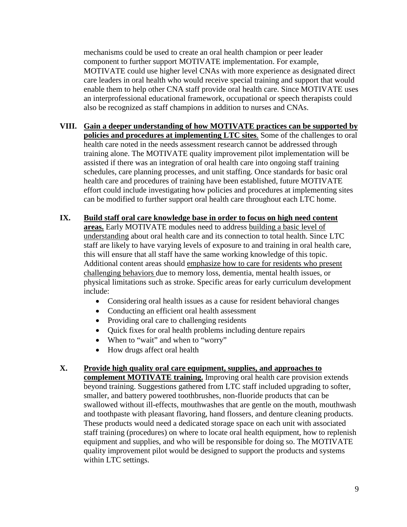mechanisms could be used to create an oral health champion or peer leader component to further support MOTIVATE implementation. For example, MOTIVATE could use higher level CNAs with more experience as designated direct care leaders in oral health who would receive special training and support that would enable them to help other CNA staff provide oral health care. Since MOTIVATE uses an interprofessional educational framework, occupational or speech therapists could also be recognized as staff champions in addition to nurses and CNAs.

- **VIII. Gain a deeper understanding of how MOTIVATE practices can be supported by policies and procedures at implementing LTC sites**. Some of the challenges to oral health care noted in the needs assessment research cannot be addressed through training alone. The MOTIVATE quality improvement pilot implementation will be assisted if there was an integration of oral health care into ongoing staff training schedules, care planning processes, and unit staffing. Once standards for basic oral health care and procedures of training have been established, future MOTIVATE effort could include investigating how policies and procedures at implementing sites can be modified to further support oral health care throughout each LTC home.
- **IX. Build staff oral care knowledge base in order to focus on high need content areas.** Early MOTIVATE modules need to address building a basic level of understanding about oral health care and its connection to total health. Since LTC staff are likely to have varying levels of exposure to and training in oral health care, this will ensure that all staff have the same working knowledge of this topic. Additional content areas should emphasize how to care for residents who present challenging behaviors due to memory loss, dementia, mental health issues, or physical limitations such as stroke. Specific areas for early curriculum development include:
	- Considering oral health issues as a cause for resident behavioral changes
	- Conducting an efficient oral health assessment
	- Providing oral care to challenging residents
	- Quick fixes for oral health problems including denture repairs
	- When to "wait" and when to "worry"
	- How drugs affect oral health

#### **X. Provide high quality oral care equipment, supplies, and approaches to**

**complement MOTIVATE training.** Improving oral health care provision extends beyond training. Suggestions gathered from LTC staff included upgrading to softer, smaller, and battery powered toothbrushes, non-fluoride products that can be swallowed without ill-effects, mouthwashes that are gentle on the mouth, mouthwash and toothpaste with pleasant flavoring, hand flossers, and denture cleaning products. These products would need a dedicated storage space on each unit with associated staff training (procedures) on where to locate oral health equipment, how to replenish equipment and supplies, and who will be responsible for doing so. The MOTIVATE quality improvement pilot would be designed to support the products and systems within LTC settings.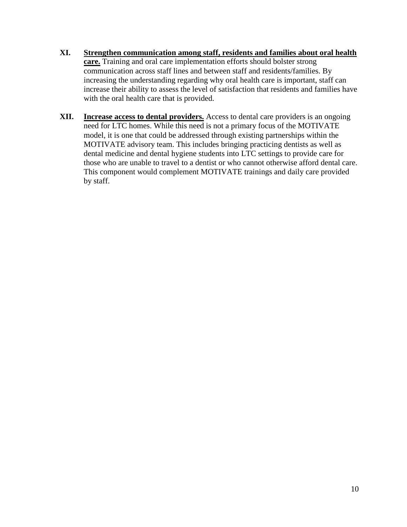- **XI. Strengthen communication among staff, residents and families about oral health care.** Training and oral care implementation efforts should bolster strong communication across staff lines and between staff and residents/families. By increasing the understanding regarding why oral health care is important, staff can increase their ability to assess the level of satisfaction that residents and families have with the oral health care that is provided.
- **XII. Increase access to dental providers.** Access to dental care providers is an ongoing need for LTC homes. While this need is not a primary focus of the MOTIVATE model, it is one that could be addressed through existing partnerships within the MOTIVATE advisory team. This includes bringing practicing dentists as well as dental medicine and dental hygiene students into LTC settings to provide care for those who are unable to travel to a dentist or who cannot otherwise afford dental care. This component would complement MOTIVATE trainings and daily care provided by staff.